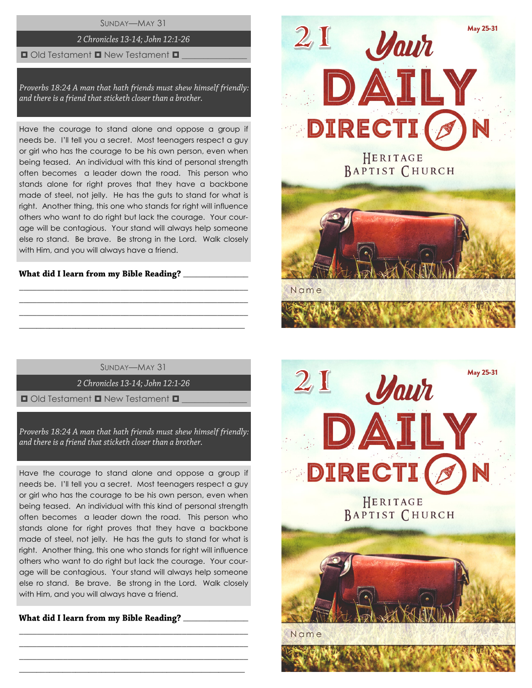SUNDAY—MAY 31

## 2 Chronicles 13-14; John 12:1-26

## $\Box$  Old Testament  $\Box$  New Testament  $\Box$

Proverbs 18:24 A man that hath friends must shew himself friendly: and there is a friend that sticketh closer than a brother.

Have the courage to stand alone and oppose a group if needs be. I'll tell you a secret. Most teenagers respect a guy or girl who has the courage to be his own person, even when being teased. An individual with this kind of personal strength often becomes a leader down the road. This person who stands alone for right proves that they have a backbone made of steel, not jelly. He has the guts to stand for what is right. Another thing, this one who stands for right will influence others who want to do right but lack the courage. Your courage will be contagious. Your stand will always help someone else ro stand. Be brave. Be strong in the Lord. Walk closely with Him, and you will always have a friend.

# What did I learn from my Bible Reading? \_\_\_\_\_\_\_\_\_

SUNDAY—MAY 31

\_\_\_\_\_\_\_\_\_\_\_\_\_\_\_\_\_\_\_\_\_\_\_\_\_\_\_\_\_\_\_\_\_\_\_\_\_\_\_\_\_\_\_\_\_\_\_\_\_\_\_\_ \_\_\_\_\_\_\_\_\_\_\_\_\_\_\_\_\_\_\_\_\_\_\_\_\_\_\_\_\_\_\_\_\_\_\_\_\_\_\_\_\_\_\_\_\_\_\_\_\_\_\_\_ \_\_\_\_\_\_\_\_\_\_\_\_\_\_\_\_\_\_\_\_\_\_\_\_\_\_\_\_\_\_\_\_\_\_\_\_\_\_\_\_\_\_\_\_\_\_\_\_\_\_\_\_  $\_$  , and the set of the set of the set of the set of the set of the set of the set of the set of the set of the set of the set of the set of the set of the set of the set of the set of the set of the set of the set of th

2 Chronicles 13-14; John 12:1-26

 $\Box$  Old Testament  $\Box$  New Testament  $\Box$ 

Proverbs 18:24 A man that hath friends must shew himself friendly: and there is a friend that sticketh closer than a brother.

Have the courage to stand alone and oppose a group if needs be. I'll tell you a secret. Most teenagers respect a guy or girl who has the courage to be his own person, even when being teased. An individual with this kind of personal strength often becomes a leader down the road. This person who stands alone for right proves that they have a backbone made of steel, not jelly. He has the guts to stand for what is right. Another thing, this one who stands for right will influence others who want to do right but lack the courage. Your courage will be contagious. Your stand will always help someone else ro stand. Be brave. Be strong in the Lord. Walk closely with Him, and you will always have a friend.

\_\_\_\_\_\_\_\_\_\_\_\_\_\_\_\_\_\_\_\_\_\_\_\_\_\_\_\_\_\_\_\_\_\_\_\_\_\_\_\_\_\_\_\_\_\_\_\_\_\_\_\_ \_\_\_\_\_\_\_\_\_\_\_\_\_\_\_\_\_\_\_\_\_\_\_\_\_\_\_\_\_\_\_\_\_\_\_\_\_\_\_\_\_\_\_\_\_\_\_\_\_\_\_\_ \_\_\_\_\_\_\_\_\_\_\_\_\_\_\_\_\_\_\_\_\_\_\_\_\_\_\_\_\_\_\_\_\_\_\_\_\_\_\_\_\_\_\_\_\_\_\_\_\_\_\_\_  $\_$  , and the set of the set of the set of the set of the set of the set of the set of the set of the set of the set of the set of the set of the set of the set of the set of the set of the set of the set of the set of th

\_\_\_\_\_\_\_\_\_\_\_\_\_\_\_



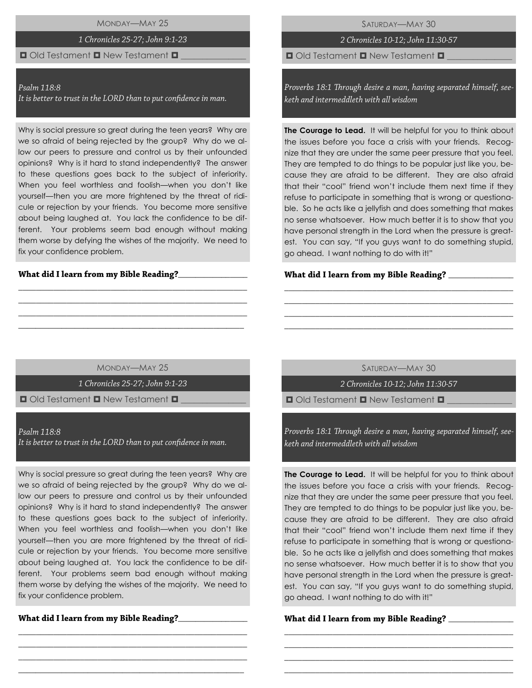MONDAY—MAY 25

# 1 Chronicles 25-27; John 9:1-23

# $\Box$  Old Testament  $\Box$  New Testament  $\Box$

### Psalm 118:8

It is better to trust in the LORD than to put confidence in man.

Why is social pressure so great during the teen years? Why are we so afraid of being rejected by the group? Why do we allow our peers to pressure and control us by their unfounded opinions? Why is it hard to stand independently? The answer to these questions goes back to the subject of inferiority. When you feel worthless and foolish—when you don't like yourself—then you are more frightened by the threat of ridicule or rejection by your friends. You become more sensitive about being laughed at. You lack the confidence to be different. Your problems seem bad enough without making them worse by defying the wishes of the majority. We need to fix your confidence problem.

#### What did I learn from my Bible Reading?\_\_

2 Chronicles 10-12; John 11:30-57

 $\Box$  Old Testament  $\Box$  New Testament  $\Box$ 

Proverbs 18:1 Through desire a man, having separated himself, seeketh and intermeddleth with all wisdom

**The Courage to Lead.** It will be helpful for you to think about the issues before you face a crisis with your friends. Recognize that they are under the same peer pressure that you feel. They are tempted to do things to be popular just like you, because they are afraid to be different. They are also afraid that their "cool" friend won't include them next time if they refuse to participate in something that is wrong or questionable. So he acts like a jellyfish and does something that makes no sense whatsoever. How much better it is to show that you have personal strength in the Lord when the pressure is greatest. You can say, "If you guys want to do something stupid, go ahead. I want nothing to do with it!"

#### What did I learn from my Bible Reading? \_\_\_\_

MONDAY—MAY 25

\_\_\_\_\_\_\_\_\_\_\_\_\_\_\_\_\_\_\_\_\_\_\_\_\_\_\_\_\_\_\_\_\_\_\_\_\_\_\_\_\_\_\_\_\_\_\_\_\_\_\_\_ \_\_\_\_\_\_\_\_\_\_\_\_\_\_\_\_\_\_\_\_\_\_\_\_\_\_\_\_\_\_\_\_\_\_\_\_\_\_\_\_\_\_\_\_\_\_\_\_\_\_\_\_ \_\_\_\_\_\_\_\_\_\_\_\_\_\_\_\_\_\_\_\_\_\_\_\_\_\_\_\_\_\_\_\_\_\_\_\_\_\_\_\_\_\_\_\_\_\_\_\_\_\_\_\_ \_\_\_\_\_\_\_\_\_\_\_\_\_\_\_\_\_\_\_\_\_\_\_\_\_\_\_\_\_\_\_\_\_\_\_\_\_\_\_\_\_\_\_\_\_\_\_\_\_\_\_\_

1 Chronicles 25-27; John 9:1-23

 $\Box$  Old Testament  $\Box$  New Testament  $\Box$ 

Psalm 118:8 It is better to trust in the LORD than to put confidence in man.

Why is social pressure so great during the teen years? Why are we so afraid of being rejected by the group? Why do we allow our peers to pressure and control us by their unfounded opinions? Why is it hard to stand independently? The answer to these questions goes back to the subject of inferiority. When you feel worthless and foolish—when you don't like yourself—then you are more frightened by the threat of ridicule or rejection by your friends. You become more sensitive about being laughed at. You lack the confidence to be different. Your problems seem bad enough without making them worse by defying the wishes of the majority. We need to fix your confidence problem.

\_\_\_\_\_\_\_\_\_\_\_\_\_\_\_\_\_\_\_\_\_\_\_\_\_\_\_\_\_\_\_\_\_\_\_\_\_\_\_\_\_\_\_\_\_\_\_\_\_\_\_\_ \_\_\_\_\_\_\_\_\_\_\_\_\_\_\_\_\_\_\_\_\_\_\_\_\_\_\_\_\_\_\_\_\_\_\_\_\_\_\_\_\_\_\_\_\_\_\_\_\_\_\_\_ \_\_\_\_\_\_\_\_\_\_\_\_\_\_\_\_\_\_\_\_\_\_\_\_\_\_\_\_\_\_\_\_\_\_\_\_\_\_\_\_\_\_\_\_\_\_\_\_\_\_\_\_ \_\_\_\_\_\_\_\_\_\_\_\_\_\_\_\_\_\_\_\_\_\_\_\_\_\_\_\_\_\_\_\_\_\_\_\_\_\_\_\_\_\_\_\_\_\_\_\_\_\_\_\_

What did I learn from my Bible Reading?\_\_\_\_\_\_\_\_\_\_\_

SATURDAY—MAY 30

\_\_\_\_\_\_\_\_\_\_\_\_\_\_\_\_\_\_\_\_\_\_\_\_\_\_\_\_\_\_\_\_\_\_\_\_\_\_\_\_\_\_\_\_\_\_\_\_\_\_\_\_ \_\_\_\_\_\_\_\_\_\_\_\_\_\_\_\_\_\_\_\_\_\_\_\_\_\_\_\_\_\_\_\_\_\_\_\_\_\_\_\_\_\_\_\_\_\_\_\_\_\_\_\_ \_\_\_\_\_\_\_\_\_\_\_\_\_\_\_\_\_\_\_\_\_\_\_\_\_\_\_\_\_\_\_\_\_\_\_\_\_\_\_\_\_\_\_\_\_\_\_\_\_\_\_\_ \_\_\_\_\_\_\_\_\_\_\_\_\_\_\_\_\_\_\_\_\_\_\_\_\_\_\_\_\_\_\_\_\_\_\_\_\_\_\_\_\_\_\_\_\_\_\_\_\_\_\_\_

2 Chronicles 10-12; John 11:30-57

 $\Box$  Old Testament  $\Box$  New Testament  $\Box$ 

Proverbs 18:1 Through desire a man, having separated himself, seeketh and intermeddleth with all wisdom

**The Courage to Lead.** It will be helpful for you to think about the issues before you face a crisis with your friends. Recognize that they are under the same peer pressure that you feel. They are tempted to do things to be popular just like you, because they are afraid to be different. They are also afraid that their "cool" friend won't include them next time if they refuse to participate in something that is wrong or questionable. So he acts like a jellyfish and does something that makes no sense whatsoever. How much better it is to show that you have personal strength in the Lord when the pressure is greatest. You can say, "If you guys want to do something stupid, go ahead. I want nothing to do with it!"

\_\_\_\_\_\_\_\_\_\_\_\_\_\_\_\_\_\_\_\_\_\_\_\_\_\_\_\_\_\_\_\_\_\_\_\_\_\_\_\_\_\_\_\_\_\_\_\_\_\_\_\_ \_\_\_\_\_\_\_\_\_\_\_\_\_\_\_\_\_\_\_\_\_\_\_\_\_\_\_\_\_\_\_\_\_\_\_\_\_\_\_\_\_\_\_\_\_\_\_\_\_\_\_\_ \_\_\_\_\_\_\_\_\_\_\_\_\_\_\_\_\_\_\_\_\_\_\_\_\_\_\_\_\_\_\_\_\_\_\_\_\_\_\_\_\_\_\_\_\_\_\_\_\_\_\_\_ \_\_\_\_\_\_\_\_\_\_\_\_\_\_\_\_\_\_\_\_\_\_\_\_\_\_\_\_\_\_\_\_\_\_\_\_\_\_\_\_\_\_\_\_\_\_\_\_\_\_\_\_

#### What did I learn from my Bible Reading? \_\_\_\_\_\_\_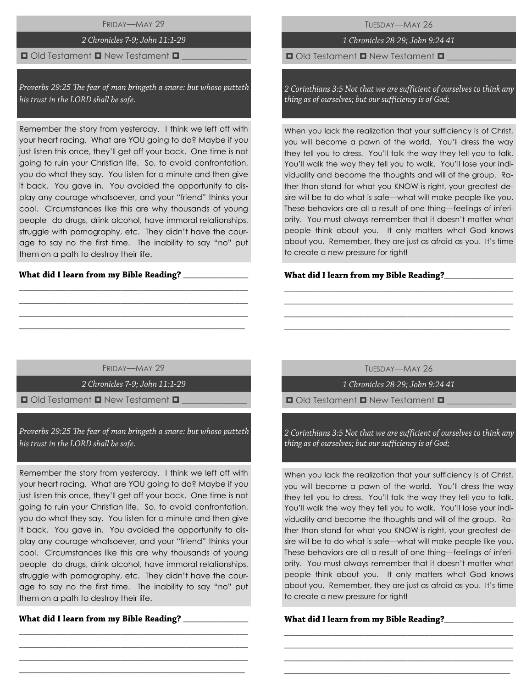FRIDAY—MAY 29

# 2 Chronicles 7-9; John 11:1-29

# $\Box$  Old Testament  $\Box$  New Testament  $\Box$

Proverbs 29:25 The fear of man bringeth a snare: but whoso putteth his trust in the LORD shall be safe.

Remember the story from yesterday. I think we left off with your heart racing. What are YOU going to do? Maybe if you just listen this once, they'll get off your back. One time is not going to ruin your Christian life. So, to avoid confrontation, you do what they say. You listen for a minute and then give it back. You gave in. You avoided the opportunity to display any courage whatsoever, and your "friend" thinks your cool. Circumstances like this are why thousands of young people do drugs, drink alcohol, have immoral relationships, struggle with pornography, etc. They didn't have the courage to say no the first time. The inability to say "no" put them on a path to destroy their life.

## What did I learn from my Bible Reading? \_\_\_\_

TUESDAY—MAY 26

# 1 Chronicles 28-29; John 9:24-41

 $\Box$  Old Testament  $\Box$  New Testament  $\Box$ 

2 Corinthians 3:5 Not that we are sufficient of ourselves to think any thing as of ourselves; but our sufficiency is of God;

When you lack the realization that your sufficiency is of Christ. you will become a pawn of the world. You'll dress the way they tell you to dress. You'll talk the way they tell you to talk. You'll walk the way they tell you to walk. You'll lose your individuality and become the thoughts and will of the group. Rather than stand for what you KNOW is right, your greatest desire will be to do what is safe—what will make people like you. These behaviors are all a result of one thing—feelings of inferiority. You must always remember that it doesn't matter what people think about you. It only matters what God knows about you. Remember, they are just as afraid as you. It's time to create a new pressure for right!

## **\_**\_\_\_\_\_\_\_\_\_\_\_\_\_\_\_

FRIDAY—MAY 29

\_\_\_\_\_\_\_\_\_\_\_\_\_\_\_\_\_\_\_\_\_\_\_\_\_\_\_\_\_\_\_\_\_\_\_\_\_\_\_\_\_\_\_\_\_\_\_\_\_\_\_\_ \_\_\_\_\_\_\_\_\_\_\_\_\_\_\_\_\_\_\_\_\_\_\_\_\_\_\_\_\_\_\_\_\_\_\_\_\_\_\_\_\_\_\_\_\_\_\_\_\_\_\_\_ \_\_\_\_\_\_\_\_\_\_\_\_\_\_\_\_\_\_\_\_\_\_\_\_\_\_\_\_\_\_\_\_\_\_\_\_\_\_\_\_\_\_\_\_\_\_\_\_\_\_\_\_  $\_$  , and the set of the set of the set of the set of the set of the set of the set of the set of the set of the set of the set of the set of the set of the set of the set of the set of the set of the set of the set of th

2 Chronicles 7-9; John 11:1-29

 $\blacksquare$  Old Testament  $\blacksquare$  New Testament  $\blacksquare$ 

Proverbs 29:25 The fear of man bringeth a snare: but whoso putteth his trust in the LORD shall be safe.

Remember the story from yesterday. I think we left off with your heart racing. What are YOU going to do? Maybe if you just listen this once, they'll get off your back. One time is not going to ruin your Christian life. So, to avoid confrontation, you do what they say. You listen for a minute and then give it back. You gave in. You avoided the opportunity to display any courage whatsoever, and your "friend" thinks your cool. Circumstances like this are why thousands of young people do drugs, drink alcohol, have immoral relationships, struggle with pornography, etc. They didn't have the courage to say no the first time. The inability to say "no" put them on a path to destroy their life.

\_\_\_\_\_\_\_\_\_\_\_\_\_\_\_\_\_\_\_\_\_\_\_\_\_\_\_\_\_\_\_\_\_\_\_\_\_\_\_\_\_\_\_\_\_\_\_\_\_\_\_\_ \_\_\_\_\_\_\_\_\_\_\_\_\_\_\_\_\_\_\_\_\_\_\_\_\_\_\_\_\_\_\_\_\_\_\_\_\_\_\_\_\_\_\_\_\_\_\_\_\_\_\_\_ \_\_\_\_\_\_\_\_\_\_\_\_\_\_\_\_\_\_\_\_\_\_\_\_\_\_\_\_\_\_\_\_\_\_\_\_\_\_\_\_\_\_\_\_\_\_\_\_\_\_\_\_  $\_$  , and the set of the set of the set of the set of the set of the set of the set of the set of the set of the set of the set of the set of the set of the set of the set of the set of the set of the set of the set of th

What did I learn from my Bible Reading?

TUESDAY—MAY 26

\_\_\_\_\_\_\_\_\_\_\_\_\_\_\_\_\_\_\_\_\_\_\_\_\_\_\_\_\_\_\_\_\_\_\_\_\_\_\_\_\_\_\_\_\_\_\_\_\_\_\_\_ \_\_\_\_\_\_\_\_\_\_\_\_\_\_\_\_\_\_\_\_\_\_\_\_\_\_\_\_\_\_\_\_\_\_\_\_\_\_\_\_\_\_\_\_\_\_\_\_\_\_\_\_ \_\_\_\_\_\_\_\_\_\_\_\_\_\_\_\_\_\_\_\_\_\_\_\_\_\_\_\_\_\_\_\_\_\_\_\_\_\_\_\_\_\_\_\_\_\_\_\_\_\_\_\_ \_\_\_\_\_\_\_\_\_\_\_\_\_\_\_\_\_\_\_\_\_\_\_\_\_\_\_\_\_\_\_\_\_\_\_\_\_\_\_\_\_\_\_\_\_\_\_\_\_\_\_\_

1 Chronicles 28-29; John 9:24-41

 $\Box$  Old Testament  $\Box$  New Testament  $\Box$ 

2 Corinthians 3:5 Not that we are sufficient of ourselves to think any thing as of ourselves; but our sufficiency is of God;

When you lack the realization that your sufficiency is of Christ, you will become a pawn of the world. You'll dress the way they tell you to dress. You'll talk the way they tell you to talk. You'll walk the way they tell you to walk. You'll lose your individuality and become the thoughts and will of the group. Rather than stand for what you KNOW is right, your greatest desire will be to do what is safe—what will make people like you. These behaviors are all a result of one thing—feelings of inferiority. You must always remember that it doesn't matter what people think about you. It only matters what God knows about you. Remember, they are just as afraid as you. It's time to create a new pressure for right!

\_\_\_\_\_\_\_\_\_\_\_\_\_\_\_\_\_\_\_\_\_\_\_\_\_\_\_\_\_\_\_\_\_\_\_\_\_\_\_\_\_\_\_\_\_\_\_\_\_\_\_\_ \_\_\_\_\_\_\_\_\_\_\_\_\_\_\_\_\_\_\_\_\_\_\_\_\_\_\_\_\_\_\_\_\_\_\_\_\_\_\_\_\_\_\_\_\_\_\_\_\_\_\_\_ \_\_\_\_\_\_\_\_\_\_\_\_\_\_\_\_\_\_\_\_\_\_\_\_\_\_\_\_\_\_\_\_\_\_\_\_\_\_\_\_\_\_\_\_\_\_\_\_\_\_\_\_ \_\_\_\_\_\_\_\_\_\_\_\_\_\_\_\_\_\_\_\_\_\_\_\_\_\_\_\_\_\_\_\_\_\_\_\_\_\_\_\_\_\_\_\_\_\_\_\_\_\_\_\_

What did I learn from my Bible Reading?\_\_\_\_